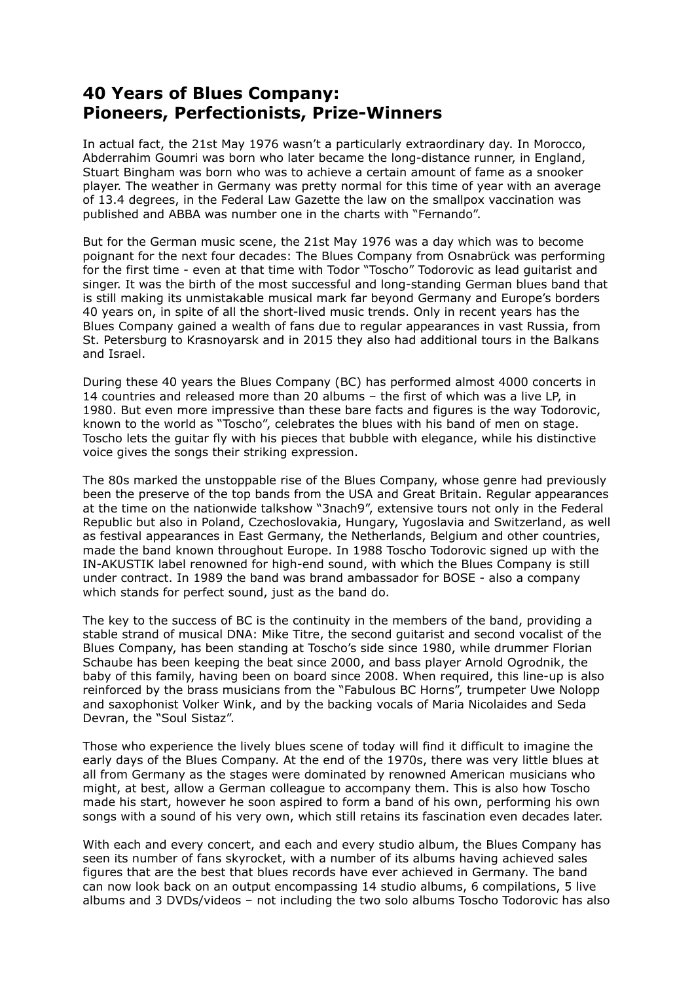## **40 Years of Blues Company: Pioneers, Perfectionists, Prize-Winners**

In actual fact, the 21st May 1976 wasn't a particularly extraordinary day. In Morocco, Abderrahim Goumri was born who later became the long-distance runner, in England, Stuart Bingham was born who was to achieve a certain amount of fame as a snooker player. The weather in Germany was pretty normal for this time of year with an average of 13.4 degrees, in the Federal Law Gazette the law on the smallpox vaccination was published and ABBA was number one in the charts with "Fernando".

But for the German music scene, the 21st May 1976 was a day which was to become poignant for the next four decades: The Blues Company from Osnabrück was performing for the first time - even at that time with Todor "Toscho" Todorovic as lead guitarist and singer. It was the birth of the most successful and long-standing German blues band that is still making its unmistakable musical mark far beyond Germany and Europe's borders 40 years on, in spite of all the short-lived music trends. Only in recent years has the Blues Company gained a wealth of fans due to regular appearances in vast Russia, from St. Petersburg to Krasnoyarsk and in 2015 they also had additional tours in the Balkans and Israel.

During these 40 years the Blues Company (BC) has performed almost 4000 concerts in 14 countries and released more than 20 albums – the first of which was a live LP, in 1980. But even more impressive than these bare facts and figures is the way Todorovic, known to the world as "Toscho", celebrates the blues with his band of men on stage. Toscho lets the guitar fly with his pieces that bubble with elegance, while his distinctive voice gives the songs their striking expression.

The 80s marked the unstoppable rise of the Blues Company, whose genre had previously been the preserve of the top bands from the USA and Great Britain. Regular appearances at the time on the nationwide talkshow "3nach9", extensive tours not only in the Federal Republic but also in Poland, Czechoslovakia, Hungary, Yugoslavia and Switzerland, as well as festival appearances in East Germany, the Netherlands, Belgium and other countries, made the band known throughout Europe. In 1988 Toscho Todorovic signed up with the IN-AKUSTIK label renowned for high-end sound, with which the Blues Company is still under contract. In 1989 the band was brand ambassador for BOSE - also a company which stands for perfect sound, just as the band do.

The key to the success of BC is the continuity in the members of the band, providing a stable strand of musical DNA: Mike Titre, the second guitarist and second vocalist of the Blues Company, has been standing at Toscho's side since 1980, while drummer Florian Schaube has been keeping the beat since 2000, and bass player Arnold Ogrodnik, the baby of this family, having been on board since 2008. When required, this line-up is also reinforced by the brass musicians from the "Fabulous BC Horns", trumpeter Uwe Nolopp and saxophonist Volker Wink, and by the backing vocals of Maria Nicolaides and Seda Devran, the "Soul Sistaz".

Those who experience the lively blues scene of today will find it difficult to imagine the early days of the Blues Company. At the end of the 1970s, there was very little blues at all from Germany as the stages were dominated by renowned American musicians who might, at best, allow a German colleague to accompany them. This is also how Toscho made his start, however he soon aspired to form a band of his own, performing his own songs with a sound of his very own, which still retains its fascination even decades later.

With each and every concert, and each and every studio album, the Blues Company has seen its number of fans skyrocket, with a number of its albums having achieved sales figures that are the best that blues records have ever achieved in Germany. The band can now look back on an output encompassing 14 studio albums, 6 compilations, 5 live albums and 3 DVDs/videos – not including the two solo albums Toscho Todorovic has also